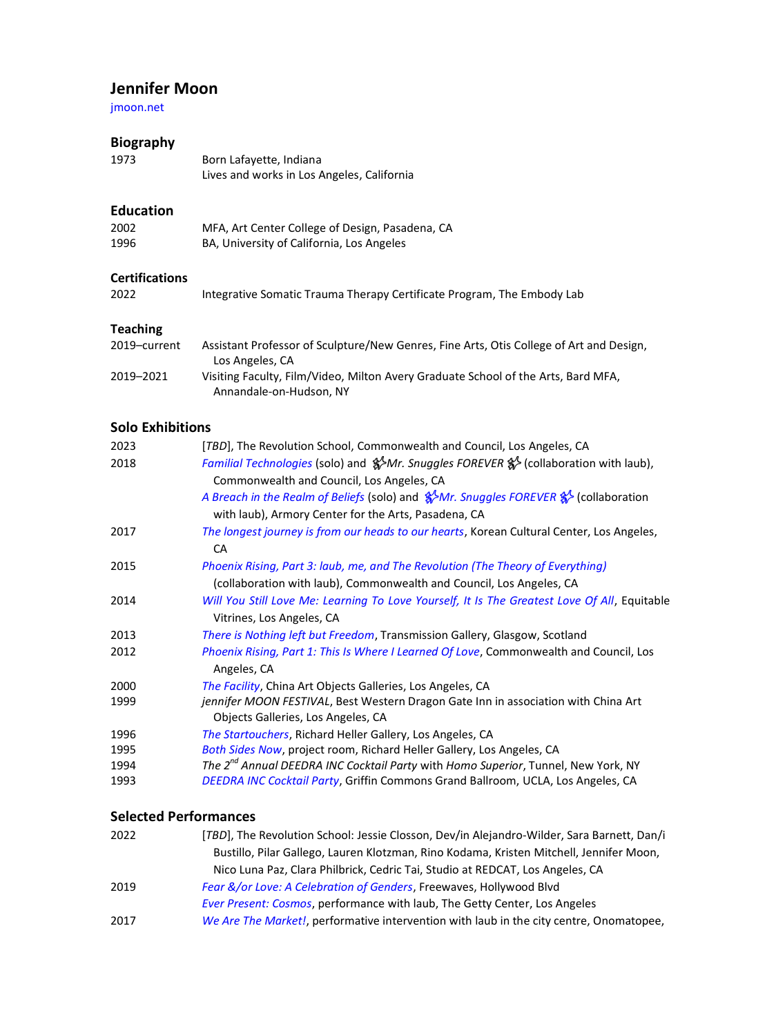#### **Jennifer Moon**

[jmoon.net](http://jmoon.net/)

#### **Biography**

| 1973                          | Born Lafayette, Indiana<br>Lives and works in Los Angeles, California                                        |
|-------------------------------|--------------------------------------------------------------------------------------------------------------|
| <b>Education</b>              |                                                                                                              |
| 2002                          | MFA, Art Center College of Design, Pasadena, CA                                                              |
| 1996                          | BA, University of California, Los Angeles                                                                    |
| <b>Certifications</b><br>2022 | Integrative Somatic Trauma Therapy Certificate Program, The Embody Lab                                       |
| <b>Teaching</b>               |                                                                                                              |
| 2019–current                  | Assistant Professor of Sculpture/New Genres, Fine Arts, Otis College of Art and Design,<br>Los Angeles, CA   |
| 2019-2021                     | Visiting Faculty, Film/Video, Milton Avery Graduate School of the Arts, Bard MFA,<br>Annandale-on-Hudson, NY |

#### **Solo Exhibitions**

| [TBD], The Revolution School, Commonwealth and Council, Los Angeles, CA                                                                                             |
|---------------------------------------------------------------------------------------------------------------------------------------------------------------------|
| Familial Technologies (solo) and \$2Mr. Snuggles FOREVER \$2 (collaboration with laub),<br>Commonwealth and Council, Los Angeles, CA                                |
| A Breach in the Realm of Beliefs (solo) and $\frac{2}{3}$ Mr. Snuggles FOREVER $\frac{2}{3}$ (collaboration<br>with laub), Armory Center for the Arts, Pasadena, CA |
| The longest journey is from our heads to our hearts, Korean Cultural Center, Los Angeles,                                                                           |
| Phoenix Rising, Part 3: laub, me, and The Revolution (The Theory of Everything)                                                                                     |
| (collaboration with laub), Commonwealth and Council, Los Angeles, CA                                                                                                |
| Will You Still Love Me: Learning To Love Yourself, It Is The Greatest Love Of All, Equitable                                                                        |
| There is Nothing left but Freedom, Transmission Gallery, Glasgow, Scotland                                                                                          |
| Phoenix Rising, Part 1: This Is Where I Learned Of Love, Commonwealth and Council, Los                                                                              |
| The Facility, China Art Objects Galleries, Los Angeles, CA                                                                                                          |
| jennifer MOON FESTIVAL, Best Western Dragon Gate Inn in association with China Art                                                                                  |
| The Startouchers, Richard Heller Gallery, Los Angeles, CA                                                                                                           |
| Both Sides Now, project room, Richard Heller Gallery, Los Angeles, CA                                                                                               |
| The 2 <sup>nd</sup> Annual DEEDRA INC Cocktail Party with Homo Superior, Tunnel, New York, NY                                                                       |
| DEEDRA INC Cocktail Party, Griffin Commons Grand Ballroom, UCLA, Los Angeles, CA                                                                                    |
|                                                                                                                                                                     |

#### **Selected Performances**

| 2022 | [TBD], The Revolution School: Jessie Closson, Dev/in Alejandro-Wilder, Sara Barnett, Dan/i |
|------|--------------------------------------------------------------------------------------------|
|      | Bustillo, Pilar Gallego, Lauren Klotzman, Rino Kodama, Kristen Mitchell, Jennifer Moon,    |
|      | Nico Luna Paz, Clara Philbrick, Cedric Tai, Studio at REDCAT, Los Angeles, CA              |
| 2019 | Fear &/or Love: A Celebration of Genders, Freewaves, Hollywood Blvd                        |
|      | Ever Present: Cosmos, performance with laub, The Getty Center, Los Angeles                 |
| 2017 | We Are The Market!, performative intervention with laub in the city centre, Onomatopee,    |
|      |                                                                                            |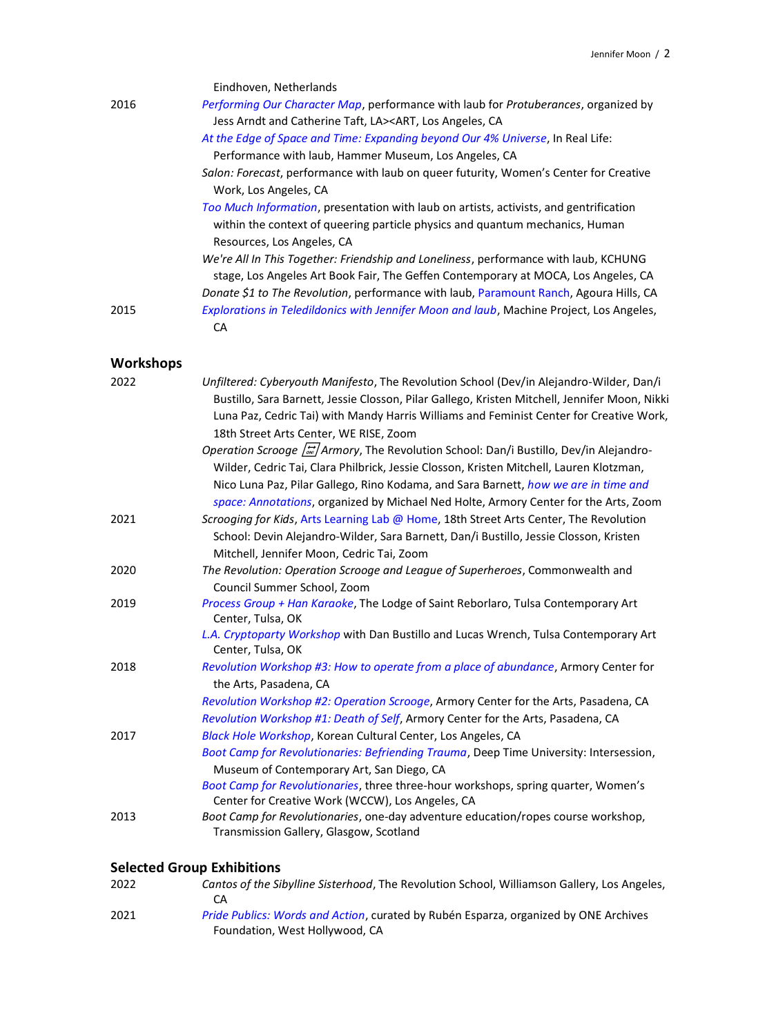|           | Eindhoven, Netherlands                                                                                                                                                                                                                                                                                                                                                    |
|-----------|---------------------------------------------------------------------------------------------------------------------------------------------------------------------------------------------------------------------------------------------------------------------------------------------------------------------------------------------------------------------------|
| 2016      | Performing Our Character Map, performance with laub for Protuberances, organized by<br>Jess Arndt and Catherine Taft, LA> <art, angeles,="" ca<="" los="" td=""></art,>                                                                                                                                                                                                   |
|           | At the Edge of Space and Time: Expanding beyond Our 4% Universe, In Real Life:                                                                                                                                                                                                                                                                                            |
|           | Performance with laub, Hammer Museum, Los Angeles, CA                                                                                                                                                                                                                                                                                                                     |
|           | Salon: Forecast, performance with laub on queer futurity, Women's Center for Creative<br>Work, Los Angeles, CA                                                                                                                                                                                                                                                            |
|           | Too Much Information, presentation with laub on artists, activists, and gentrification<br>within the context of queering particle physics and quantum mechanics, Human<br>Resources, Los Angeles, CA                                                                                                                                                                      |
|           | We're All In This Together: Friendship and Loneliness, performance with laub, KCHUNG<br>stage, Los Angeles Art Book Fair, The Geffen Contemporary at MOCA, Los Angeles, CA                                                                                                                                                                                                |
|           | Donate \$1 to The Revolution, performance with laub, Paramount Ranch, Agoura Hills, CA                                                                                                                                                                                                                                                                                    |
| 2015      | Explorations in Teledildonics with Jennifer Moon and laub, Machine Project, Los Angeles,<br>CA                                                                                                                                                                                                                                                                            |
| Workshops |                                                                                                                                                                                                                                                                                                                                                                           |
| 2022      | Unfiltered: Cyberyouth Manifesto, The Revolution School (Dev/in Alejandro-Wilder, Dan/i<br>Bustillo, Sara Barnett, Jessie Closson, Pilar Gallego, Kristen Mitchell, Jennifer Moon, Nikki<br>Luna Paz, Cedric Tai) with Mandy Harris Williams and Feminist Center for Creative Work,<br>18th Street Arts Center, WE RISE, Zoom                                             |
|           | Operation Scrooge $\sqrt{m/2}$ Armory, The Revolution School: Dan/i Bustillo, Dev/in Alejandro-<br>Wilder, Cedric Tai, Clara Philbrick, Jessie Closson, Kristen Mitchell, Lauren Klotzman,<br>Nico Luna Paz, Pilar Gallego, Rino Kodama, and Sara Barnett, how we are in time and<br>space: Annotations, organized by Michael Ned Holte, Armory Center for the Arts, Zoom |
| 2021      | Scrooging for Kids, Arts Learning Lab @ Home, 18th Street Arts Center, The Revolution<br>School: Devin Alejandro-Wilder, Sara Barnett, Dan/i Bustillo, Jessie Closson, Kristen<br>Mitchell, Jennifer Moon, Cedric Tai, Zoom                                                                                                                                               |
| 2020      | The Revolution: Operation Scrooge and League of Superheroes, Commonwealth and<br>Council Summer School, Zoom                                                                                                                                                                                                                                                              |
| 2019      | Process Group + Han Karaoke, The Lodge of Saint Reborlaro, Tulsa Contemporary Art<br>Center, Tulsa, OK                                                                                                                                                                                                                                                                    |
|           | L.A. Cryptoparty Workshop with Dan Bustillo and Lucas Wrench, Tulsa Contemporary Art<br>Center, Tulsa, OK                                                                                                                                                                                                                                                                 |
| 2018      | Revolution Workshop #3: How to operate from a place of abundance, Armory Center for<br>the Arts, Pasadena, CA                                                                                                                                                                                                                                                             |
|           | Revolution Workshop #2: Operation Scrooge, Armory Center for the Arts, Pasadena, CA                                                                                                                                                                                                                                                                                       |
|           | Revolution Workshop #1: Death of Self, Armory Center for the Arts, Pasadena, CA                                                                                                                                                                                                                                                                                           |
| 2017      | Black Hole Workshop, Korean Cultural Center, Los Angeles, CA                                                                                                                                                                                                                                                                                                              |
|           | Boot Camp for Revolutionaries: Befriending Trauma, Deep Time University: Intersession,<br>Museum of Contemporary Art, San Diego, CA                                                                                                                                                                                                                                       |
|           | Boot Camp for Revolutionaries, three three-hour workshops, spring quarter, Women's<br>Center for Creative Work (WCCW), Los Angeles, CA                                                                                                                                                                                                                                    |
| 2013      | Boot Camp for Revolutionaries, one-day adventure education/ropes course workshop,<br>Transmission Gallery, Glasgow, Scotland                                                                                                                                                                                                                                              |

## **Selected Group Exhibitions**

| 2022 | Cantos of the Sibylline Sisterhood. The Revolution School. Williamson Gallery. Los Angeles. |
|------|---------------------------------------------------------------------------------------------|
|      | CА                                                                                          |
| 2021 | <i>Pride Publics: Words and Action, curated by Rubén Esparza, organized by ONE Archives</i> |
|      | Foundation. West Hollywood. CA                                                              |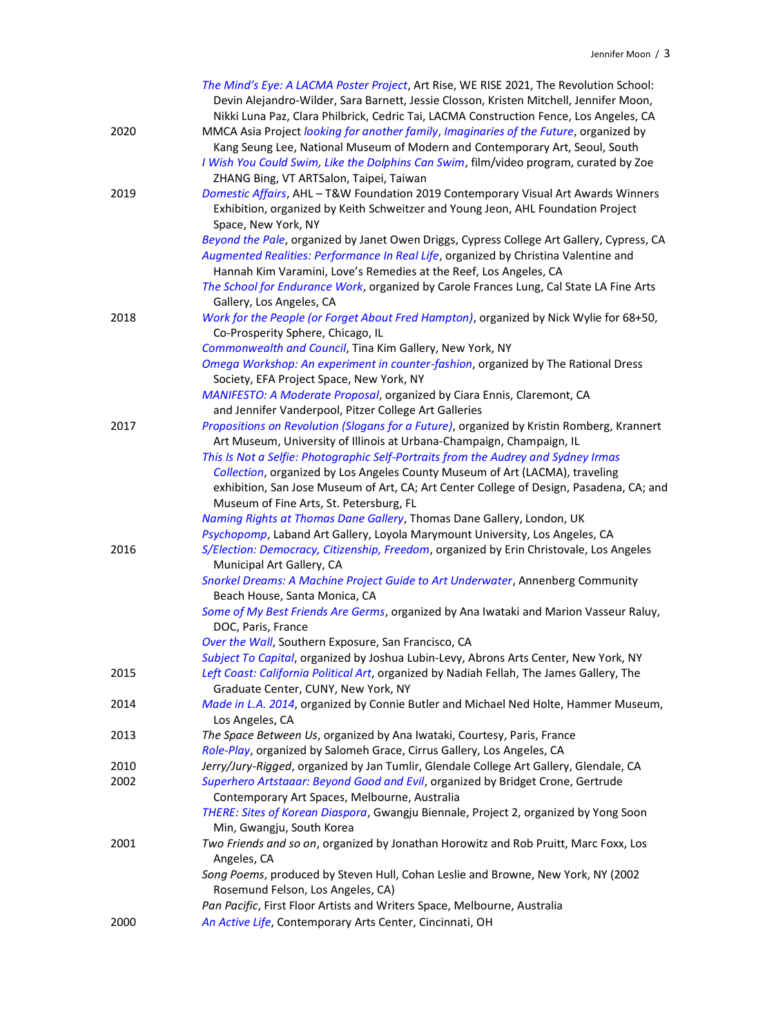|      | The Mind's Eye: A LACMA Poster Project, Art Rise, WE RISE 2021, The Revolution School:<br>Devin Alejandro-Wilder, Sara Barnett, Jessie Closson, Kristen Mitchell, Jennifer Moon,<br>Nikki Luna Paz, Clara Philbrick, Cedric Tai, LACMA Construction Fence, Los Angeles, CA                               |
|------|----------------------------------------------------------------------------------------------------------------------------------------------------------------------------------------------------------------------------------------------------------------------------------------------------------|
| 2020 | MMCA Asia Project looking for another family, Imaginaries of the Future, organized by<br>Kang Seung Lee, National Museum of Modern and Contemporary Art, Seoul, South<br>I Wish You Could Swim, Like the Dolphins Can Swim, film/video program, curated by Zoe                                           |
| 2019 | ZHANG Bing, VT ARTSalon, Taipei, Taiwan<br>Domestic Affairs, AHL - T&W Foundation 2019 Contemporary Visual Art Awards Winners<br>Exhibition, organized by Keith Schweitzer and Young Jeon, AHL Foundation Project<br>Space, New York, NY                                                                 |
|      | Beyond the Pale, organized by Janet Owen Driggs, Cypress College Art Gallery, Cypress, CA<br>Augmented Realities: Performance In Real Life, organized by Christina Valentine and<br>Hannah Kim Varamini, Love's Remedies at the Reef, Los Angeles, CA                                                    |
|      | The School for Endurance Work, organized by Carole Frances Lung, Cal State LA Fine Arts<br>Gallery, Los Angeles, CA                                                                                                                                                                                      |
| 2018 | Work for the People (or Forget About Fred Hampton), organized by Nick Wylie for 68+50,<br>Co-Prosperity Sphere, Chicago, IL                                                                                                                                                                              |
|      | Commonwealth and Council, Tina Kim Gallery, New York, NY                                                                                                                                                                                                                                                 |
|      | Omega Workshop: An experiment in counter-fashion, organized by The Rational Dress<br>Society, EFA Project Space, New York, NY                                                                                                                                                                            |
|      | MANIFESTO: A Moderate Proposal, organized by Ciara Ennis, Claremont, CA<br>and Jennifer Vanderpool, Pitzer College Art Galleries                                                                                                                                                                         |
| 2017 | Propositions on Revolution (Slogans for a Future), organized by Kristin Romberg, Krannert<br>Art Museum, University of Illinois at Urbana-Champaign, Champaign, IL                                                                                                                                       |
|      | This Is Not a Selfie: Photographic Self-Portraits from the Audrey and Sydney Irmas<br>Collection, organized by Los Angeles County Museum of Art (LACMA), traveling<br>exhibition, San Jose Museum of Art, CA; Art Center College of Design, Pasadena, CA; and<br>Museum of Fine Arts, St. Petersburg, FL |
|      | Naming Rights at Thomas Dane Gallery, Thomas Dane Gallery, London, UK                                                                                                                                                                                                                                    |
| 2016 | Psychopomp, Laband Art Gallery, Loyola Marymount University, Los Angeles, CA<br>S/Election: Democracy, Citizenship, Freedom, organized by Erin Christovale, Los Angeles<br>Municipal Art Gallery, CA                                                                                                     |
|      | Snorkel Dreams: A Machine Project Guide to Art Underwater, Annenberg Community<br>Beach House, Santa Monica, CA                                                                                                                                                                                          |
|      | Some of My Best Friends Are Germs, organized by Ana Iwataki and Marion Vasseur Raluy,<br>DOC, Paris, France                                                                                                                                                                                              |
|      | Over the Wall, Southern Exposure, San Francisco, CA                                                                                                                                                                                                                                                      |
|      | Subject To Capital, organized by Joshua Lubin-Levy, Abrons Arts Center, New York, NY                                                                                                                                                                                                                     |
| 2015 | Left Coast: California Political Art, organized by Nadiah Fellah, The James Gallery, The<br>Graduate Center, CUNY, New York, NY                                                                                                                                                                          |
| 2014 | Made in L.A. 2014, organized by Connie Butler and Michael Ned Holte, Hammer Museum,<br>Los Angeles, CA                                                                                                                                                                                                   |
| 2013 | The Space Between Us, organized by Ana Iwataki, Courtesy, Paris, France<br>Role-Play, organized by Salomeh Grace, Cirrus Gallery, Los Angeles, CA                                                                                                                                                        |
| 2010 | Jerry/Jury-Rigged, organized by Jan Tumlir, Glendale College Art Gallery, Glendale, CA                                                                                                                                                                                                                   |
| 2002 | Superhero Artstaaar: Beyond Good and Evil, organized by Bridget Crone, Gertrude                                                                                                                                                                                                                          |
|      | Contemporary Art Spaces, Melbourne, Australia<br>THERE: Sites of Korean Diaspora, Gwangju Biennale, Project 2, organized by Yong Soon                                                                                                                                                                    |
|      | Min, Gwangju, South Korea                                                                                                                                                                                                                                                                                |
| 2001 | Two Friends and so on, organized by Jonathan Horowitz and Rob Pruitt, Marc Foxx, Los<br>Angeles, CA                                                                                                                                                                                                      |
|      | Song Poems, produced by Steven Hull, Cohan Leslie and Browne, New York, NY (2002<br>Rosemund Felson, Los Angeles, CA)                                                                                                                                                                                    |
|      | Pan Pacific, First Floor Artists and Writers Space, Melbourne, Australia                                                                                                                                                                                                                                 |
| 2000 | An Active Life, Contemporary Arts Center, Cincinnati, OH                                                                                                                                                                                                                                                 |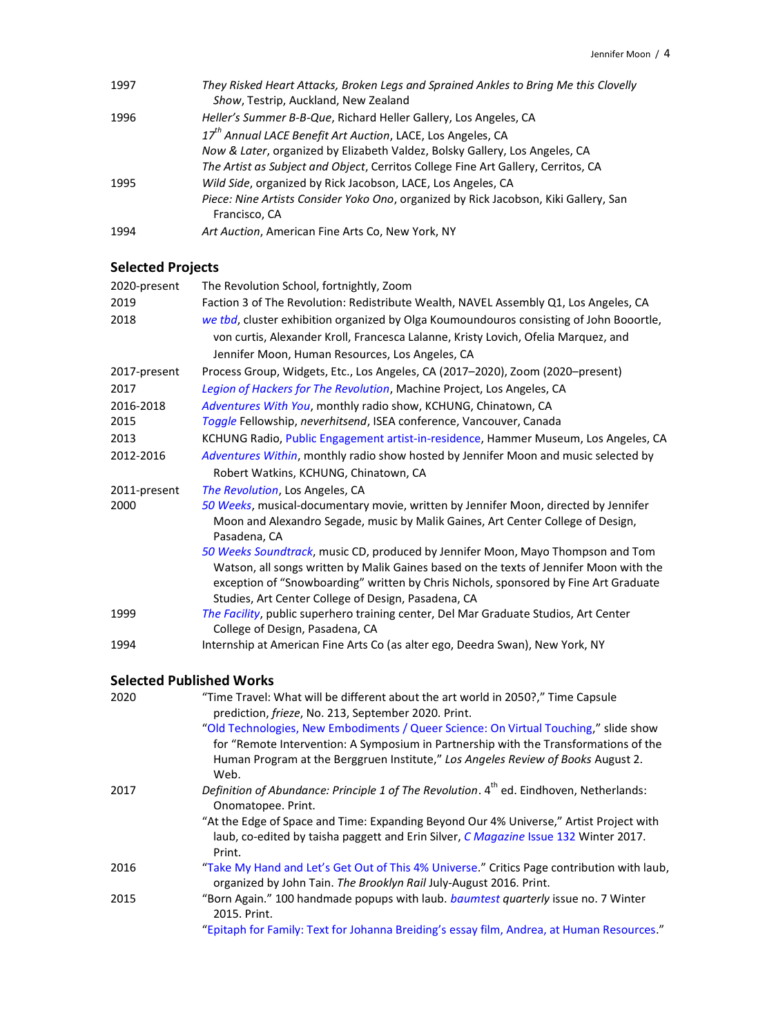| 1997 | They Risked Heart Attacks, Broken Legs and Sprained Ankles to Bring Me this Clovelly<br>Show, Testrip, Auckland, New Zealand |
|------|------------------------------------------------------------------------------------------------------------------------------|
| 1996 | Heller's Summer B-B-Que, Richard Heller Gallery, Los Angeles, CA                                                             |
|      | 17 <sup>th</sup> Annual LACE Benefit Art Auction, LACE, Los Angeles, CA                                                      |
|      | Now & Later, organized by Elizabeth Valdez, Bolsky Gallery, Los Angeles, CA                                                  |
|      | The Artist as Subject and Object, Cerritos College Fine Art Gallery, Cerritos, CA                                            |
| 1995 | Wild Side, organized by Rick Jacobson, LACE, Los Angeles, CA                                                                 |
|      | Piece: Nine Artists Consider Yoko Ono, organized by Rick Jacobson, Kiki Gallery, San<br>Francisco, CA                        |
| 1994 | Art Auction, American Fine Arts Co, New York, NY                                                                             |

## **Selected Projects**

| 2020-present | The Revolution School, fortnightly, Zoom                                                                                                                                                                                                                                                                                 |
|--------------|--------------------------------------------------------------------------------------------------------------------------------------------------------------------------------------------------------------------------------------------------------------------------------------------------------------------------|
| 2019         | Faction 3 of The Revolution: Redistribute Wealth, NAVEL Assembly Q1, Los Angeles, CA                                                                                                                                                                                                                                     |
| 2018         | we tbd, cluster exhibition organized by Olga Koumoundouros consisting of John Booortle,<br>von curtis, Alexander Kroll, Francesca Lalanne, Kristy Lovich, Ofelia Marquez, and                                                                                                                                            |
|              | Jennifer Moon, Human Resources, Los Angeles, CA                                                                                                                                                                                                                                                                          |
| 2017-present | Process Group, Widgets, Etc., Los Angeles, CA (2017-2020), Zoom (2020-present)                                                                                                                                                                                                                                           |
| 2017         | Legion of Hackers for The Revolution, Machine Project, Los Angeles, CA                                                                                                                                                                                                                                                   |
| 2016-2018    | Adventures With You, monthly radio show, KCHUNG, Chinatown, CA                                                                                                                                                                                                                                                           |
| 2015         | Toggle Fellowship, neverhitsend, ISEA conference, Vancouver, Canada                                                                                                                                                                                                                                                      |
| 2013         | KCHUNG Radio, Public Engagement artist-in-residence, Hammer Museum, Los Angeles, CA                                                                                                                                                                                                                                      |
| 2012-2016    | Adventures Within, monthly radio show hosted by Jennifer Moon and music selected by<br>Robert Watkins, KCHUNG, Chinatown, CA                                                                                                                                                                                             |
| 2011-present | The Revolution, Los Angeles, CA                                                                                                                                                                                                                                                                                          |
| 2000         | 50 Weeks, musical-documentary movie, written by Jennifer Moon, directed by Jennifer<br>Moon and Alexandro Segade, music by Malik Gaines, Art Center College of Design,<br>Pasadena, CA                                                                                                                                   |
|              | 50 Weeks Soundtrack, music CD, produced by Jennifer Moon, Mayo Thompson and Tom<br>Watson, all songs written by Malik Gaines based on the texts of Jennifer Moon with the<br>exception of "Snowboarding" written by Chris Nichols, sponsored by Fine Art Graduate<br>Studies, Art Center College of Design, Pasadena, CA |
| 1999         | The Facility, public superhero training center, Del Mar Graduate Studios, Art Center<br>College of Design, Pasadena, CA                                                                                                                                                                                                  |
| 1994         | Internship at American Fine Arts Co (as alter ego, Deedra Swan), New York, NY                                                                                                                                                                                                                                            |
|              |                                                                                                                                                                                                                                                                                                                          |

#### **Selected Published Works**

| 2020 | "Time Travel: What will be different about the art world in 2050?," Time Capsule<br>prediction, <i>frieze</i> , No. 213, September 2020. Print.                                                                                                                          |
|------|--------------------------------------------------------------------------------------------------------------------------------------------------------------------------------------------------------------------------------------------------------------------------|
|      | "Old Technologies, New Embodiments / Queer Science: On Virtual Touching," slide show<br>for "Remote Intervention: A Symposium in Partnership with the Transformations of the<br>Human Program at the Berggruen Institute," Los Angeles Review of Books August 2.<br>Web. |
| 2017 | Definition of Abundance: Principle 1 of The Revolution. 4 <sup>th</sup> ed. Eindhoven, Netherlands:<br>Onomatopee. Print.                                                                                                                                                |
|      | "At the Edge of Space and Time: Expanding Beyond Our 4% Universe," Artist Project with<br>laub, co-edited by taisha paggett and Erin Silver, C Magazine Issue 132 Winter 2017.<br>Print.                                                                                 |
| 2016 | "Take My Hand and Let's Get Out of This 4% Universe." Critics Page contribution with laub,<br>organized by John Tain. The Brooklyn Rail July-August 2016. Print.                                                                                                         |
| 2015 | "Born Again." 100 handmade popups with laub. <i>baumtest quarterly</i> issue no. 7 Winter<br>2015. Print.                                                                                                                                                                |
|      | "Epitaph for Family: Text for Johanna Breiding's essay film, Andrea, at Human Resources."                                                                                                                                                                                |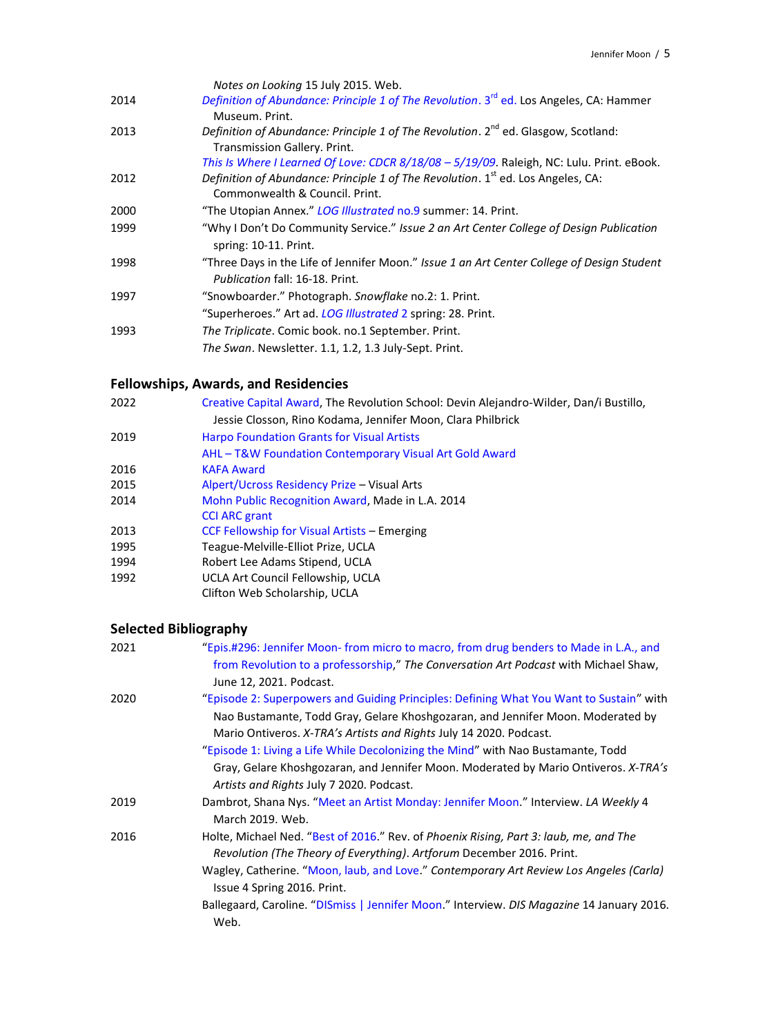|      | Notes on Looking 15 July 2015. Web.                                                                                            |
|------|--------------------------------------------------------------------------------------------------------------------------------|
| 2014 | Definition of Abundance: Principle 1 of The Revolution. 3 <sup>rd</sup> ed. Los Angeles, CA: Hammer<br>Museum, Print.          |
| 2013 | Definition of Abundance: Principle 1 of The Revolution. 2 <sup>nd</sup> ed. Glasgow, Scotland:<br>Transmission Gallery. Print. |
|      | This Is Where I Learned Of Love: CDCR 8/18/08 - 5/19/09. Raleigh, NC: Lulu. Print. eBook.                                      |
| 2012 | Definition of Abundance: Principle 1 of The Revolution. 1 <sup>st</sup> ed. Los Angeles, CA:<br>Commonwealth & Council, Print. |
| 2000 | "The Utopian Annex." LOG Illustrated no.9 summer: 14. Print.                                                                   |
| 1999 | "Why I Don't Do Community Service." Issue 2 an Art Center College of Design Publication<br>spring: $10-11$ . Print.            |
| 1998 | "Three Days in the Life of Jennifer Moon." Issue 1 an Art Center College of Design Student<br>Publication fall: 16-18. Print.  |
| 1997 | "Snowboarder." Photograph. Snowflake no.2: 1. Print.                                                                           |
|      | "Superheroes." Art ad. LOG Illustrated 2 spring: 28. Print.                                                                    |
| 1993 | The Triplicate. Comic book. no.1 September. Print.                                                                             |
|      | <i>The Swan.</i> Newsletter. 1.1, 1.2, 1.3 July-Sept. Print.                                                                   |
|      |                                                                                                                                |

## **Fellowships, Awards, and Residencies**

| 2022 | Creative Capital Award, The Revolution School: Devin Alejandro-Wilder, Dan/i Bustillo, |
|------|----------------------------------------------------------------------------------------|
|      | Jessie Closson, Rino Kodama, Jennifer Moon, Clara Philbrick                            |
| 2019 | <b>Harpo Foundation Grants for Visual Artists</b>                                      |
|      | AHL - T&W Foundation Contemporary Visual Art Gold Award                                |
| 2016 | <b>KAFA Award</b>                                                                      |
| 2015 | Alpert/Ucross Residency Prize - Visual Arts                                            |
| 2014 | Mohn Public Recognition Award, Made in L.A. 2014                                       |
|      | <b>CCI ARC grant</b>                                                                   |
| 2013 | CCF Fellowship for Visual Artists - Emerging                                           |
| 1995 | Teague-Melville-Elliot Prize, UCLA                                                     |
| 1994 | Robert Lee Adams Stipend, UCLA                                                         |
| 1992 | UCLA Art Council Fellowship, UCLA                                                      |
|      | Clifton Web Scholarship, UCLA                                                          |

# **Selected Bibliography**

| 2021 | "Epis.#296: Jennifer Moon-from micro to macro, from drug benders to Made in L.A., and<br>from Revolution to a professorship," The Conversation Art Podcast with Michael Shaw,<br>June 12, 2021. Podcast.                                                                                |
|------|-----------------------------------------------------------------------------------------------------------------------------------------------------------------------------------------------------------------------------------------------------------------------------------------|
| 2020 | "Episode 2: Superpowers and Guiding Principles: Defining What You Want to Sustain" with<br>Nao Bustamante, Todd Gray, Gelare Khoshgozaran, and Jennifer Moon. Moderated by<br>Mario Ontiveros. X-TRA's Artists and Rights July 14 2020. Podcast.                                        |
|      | "Episode 1: Living a Life While Decolonizing the Mind" with Nao Bustamante, Todd<br>Gray, Gelare Khoshgozaran, and Jennifer Moon. Moderated by Mario Ontiveros. X-TRA's<br>Artists and Rights July 7 2020. Podcast.                                                                     |
| 2019 | Dambrot, Shana Nys. "Meet an Artist Monday: Jennifer Moon." Interview. LA Weekly 4<br>March 2019, Web.                                                                                                                                                                                  |
| 2016 | Holte, Michael Ned. "Best of 2016." Rev. of Phoenix Rising, Part 3: laub, me, and The<br>Revolution (The Theory of Everything). Artforum December 2016. Print.<br>Wagley, Catherine. "Moon, laub, and Love." Contemporary Art Review Los Angeles (Carla)<br>Issue 4 Spring 2016. Print. |
|      | Ballegaard, Caroline. "DISmiss   Jennifer Moon." Interview. DIS Magazine 14 January 2016.<br>Web.                                                                                                                                                                                       |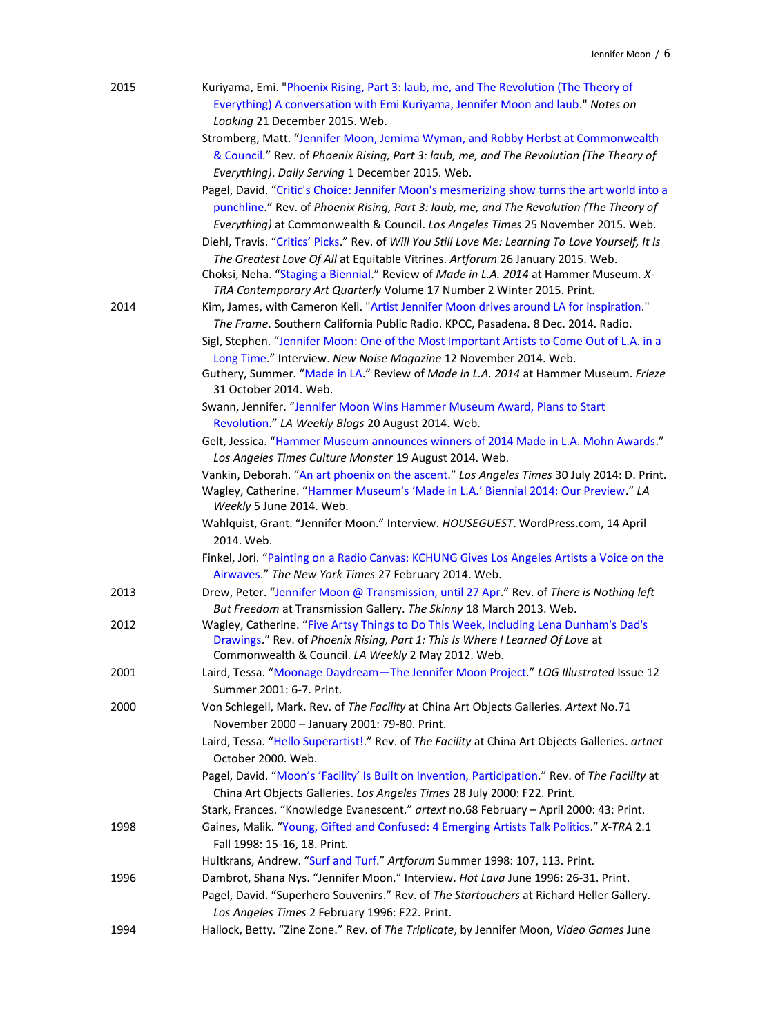| 2015 | Kuriyama, Emi. "Phoenix Rising, Part 3: laub, me, and The Revolution (The Theory of<br>Everything) A conversation with Emi Kuriyama, Jennifer Moon and laub." Notes on<br>Looking 21 December 2015. Web.                       |
|------|--------------------------------------------------------------------------------------------------------------------------------------------------------------------------------------------------------------------------------|
|      | Stromberg, Matt. "Jennifer Moon, Jemima Wyman, and Robby Herbst at Commonwealth<br>& Council." Rev. of Phoenix Rising, Part 3: laub, me, and The Revolution (The Theory of<br>Everything). Daily Serving 1 December 2015. Web. |
|      | Pagel, David. "Critic's Choice: Jennifer Moon's mesmerizing show turns the art world into a                                                                                                                                    |
|      | punchline." Rev. of Phoenix Rising, Part 3: laub, me, and The Revolution (The Theory of                                                                                                                                        |
|      | Everything) at Commonwealth & Council. Los Angeles Times 25 November 2015. Web.                                                                                                                                                |
|      | Diehl, Travis. "Critics' Picks." Rev. of Will You Still Love Me: Learning To Love Yourself, It Is                                                                                                                              |
|      | The Greatest Love Of All at Equitable Vitrines. Artforum 26 January 2015. Web.                                                                                                                                                 |
|      | Choksi, Neha. "Staging a Biennial." Review of Made in L.A. 2014 at Hammer Museum. X-<br>TRA Contemporary Art Quarterly Volume 17 Number 2 Winter 2015. Print.                                                                  |
| 2014 | Kim, James, with Cameron Kell. "Artist Jennifer Moon drives around LA for inspiration."                                                                                                                                        |
|      | The Frame. Southern California Public Radio. KPCC, Pasadena. 8 Dec. 2014. Radio.                                                                                                                                               |
|      | Sigl, Stephen. "Jennifer Moon: One of the Most Important Artists to Come Out of L.A. in a<br>Long Time." Interview. New Noise Magazine 12 November 2014. Web.                                                                  |
|      | Guthery, Summer. "Made in LA." Review of Made in L.A. 2014 at Hammer Museum. Frieze<br>31 October 2014. Web.                                                                                                                   |
|      | Swann, Jennifer. "Jennifer Moon Wins Hammer Museum Award, Plans to Start                                                                                                                                                       |
|      | Revolution." LA Weekly Blogs 20 August 2014. Web.                                                                                                                                                                              |
|      | Gelt, Jessica. "Hammer Museum announces winners of 2014 Made in L.A. Mohn Awards."                                                                                                                                             |
|      | Los Angeles Times Culture Monster 19 August 2014. Web.                                                                                                                                                                         |
|      | Vankin, Deborah. "An art phoenix on the ascent." Los Angeles Times 30 July 2014: D. Print.                                                                                                                                     |
|      | Wagley, Catherine. "Hammer Museum's 'Made in L.A.' Biennial 2014: Our Preview." LA<br>Weekly 5 June 2014. Web.                                                                                                                 |
|      | Wahlquist, Grant. "Jennifer Moon." Interview. HOUSEGUEST. WordPress.com, 14 April<br>2014. Web.                                                                                                                                |
|      | Finkel, Jori. "Painting on a Radio Canvas: KCHUNG Gives Los Angeles Artists a Voice on the<br>Airwaves." The New York Times 27 February 2014. Web.                                                                             |
| 2013 | Drew, Peter. "Jennifer Moon @ Transmission, until 27 Apr." Rev. of There is Nothing left                                                                                                                                       |
|      | But Freedom at Transmission Gallery. The Skinny 18 March 2013. Web.                                                                                                                                                            |
| 2012 | Wagley, Catherine. "Five Artsy Things to Do This Week, Including Lena Dunham's Dad's<br>Drawings." Rev. of Phoenix Rising, Part 1: This Is Where I Learned Of Love at<br>Commonwealth & Council. LA Weekly 2 May 2012. Web.    |
| 2001 | Laird, Tessa. "Moonage Daydream-The Jennifer Moon Project." LOG Illustrated Issue 12                                                                                                                                           |
|      | Summer 2001: 6-7. Print.                                                                                                                                                                                                       |
| 2000 | Von Schlegell, Mark. Rev. of The Facility at China Art Objects Galleries. Artext No.71                                                                                                                                         |
|      | November 2000 - January 2001: 79-80. Print.                                                                                                                                                                                    |
|      | Laird, Tessa. "Hello Superartist!." Rev. of The Facility at China Art Objects Galleries. artnet<br>October 2000. Web.                                                                                                          |
|      | Pagel, David. "Moon's 'Facility' Is Built on Invention, Participation." Rev. of The Facility at<br>China Art Objects Galleries. Los Angeles Times 28 July 2000: F22. Print.                                                    |
|      | Stark, Frances. "Knowledge Evanescent." artext no.68 February - April 2000: 43: Print.                                                                                                                                         |
| 1998 | Gaines, Malik. "Young, Gifted and Confused: 4 Emerging Artists Talk Politics." X-TRA 2.1<br>Fall 1998: 15-16, 18. Print.                                                                                                       |
|      | Hultkrans, Andrew. "Surf and Turf." Artforum Summer 1998: 107, 113. Print.                                                                                                                                                     |
| 1996 | Dambrot, Shana Nys. "Jennifer Moon." Interview. Hot Lava June 1996: 26-31. Print.                                                                                                                                              |
|      | Pagel, David. "Superhero Souvenirs." Rev. of The Startouchers at Richard Heller Gallery.<br>Los Angeles Times 2 February 1996: F22. Print.                                                                                     |
| 1994 | Hallock, Betty. "Zine Zone." Rev. of The Triplicate, by Jennifer Moon, Video Games June                                                                                                                                        |
|      |                                                                                                                                                                                                                                |